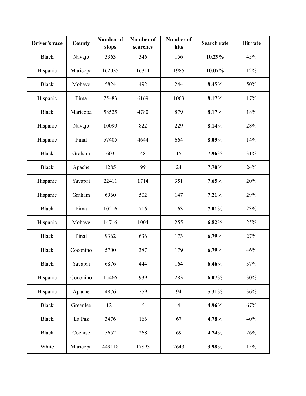| Driver's race | County   | <b>Number of</b><br>stops | Number of<br>searches | Number of<br>hits | <b>Search rate</b> | <b>Hit rate</b> |
|---------------|----------|---------------------------|-----------------------|-------------------|--------------------|-----------------|
| <b>Black</b>  | Navajo   | 3363                      | 346                   | 156               | 10.29%             | 45%             |
| Hispanic      | Maricopa | 162035                    | 16311                 | 1985              | 10.07%             | 12%             |
| <b>Black</b>  | Mohave   | 5824                      | 492                   | 244               | 8.45%              | 50%             |
| Hispanic      | Pima     | 75483                     | 6169                  | 1063              | 8.17%              | 17%             |
| <b>Black</b>  | Maricopa | 58525                     | 4780                  | 879               | 8.17%              | 18%             |
| Hispanic      | Navajo   | 10099                     | 822                   | 229               | 8.14%              | 28%             |
| Hispanic      | Pinal    | 57405                     | 4644                  | 664               | 8.09%              | 14%             |
| <b>Black</b>  | Graham   | 603                       | 48                    | 15                | 7.96%              | 31%             |
| <b>Black</b>  | Apache   | 1285                      | 99                    | 24                | 7.70%              | 24%             |
| Hispanic      | Yavapai  | 22411                     | 1714                  | 351               | 7.65%              | 20%             |
| Hispanic      | Graham   | 6960                      | 502                   | 147               | 7.21%              | 29%             |
| <b>Black</b>  | Pima     | 10216                     | 716                   | 163               | 7.01%              | 23%             |
| Hispanic      | Mohave   | 14716                     | 1004                  | 255               | 6.82%              | 25%             |
| <b>Black</b>  | Pinal    | 9362                      | 636                   | 173               | 6.79%              | 27%             |
| <b>Black</b>  | Coconino | 5700                      | 387                   | 179               | 6.79%              | 46%             |
| <b>Black</b>  | Yavapai  | 6876                      | 444                   | 164               | 6.46%              | 37%             |
| Hispanic      | Coconino | 15466                     | 939                   | 283               | 6.07%              | 30%             |
| Hispanic      | Apache   | 4876                      | 259                   | 94                | 5.31%              | 36%             |
| <b>Black</b>  | Greenlee | 121                       | 6                     | $\overline{4}$    | 4.96%              | 67%             |
| <b>Black</b>  | La Paz   | 3476                      | 166                   | 67                | 4.78%              | 40%             |
| <b>Black</b>  | Cochise  | 5652                      | 268                   | 69                | 4.74%              | 26%             |
| White         | Maricopa | 449118                    | 17893                 | 2643              | 3.98%              | 15%             |